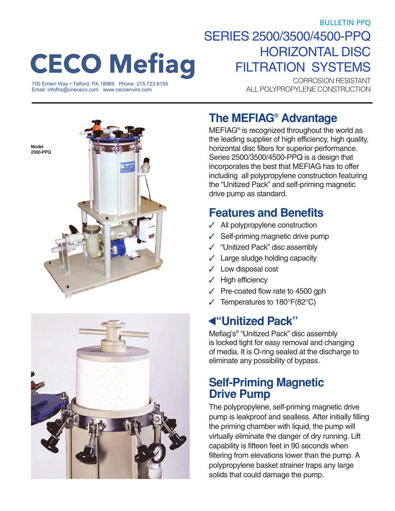BULLETIN PPQ

# **CECO Mefiag**

ALL POLYPROPYLENE CONSTRUCTION 700 Emlen Way • Telford, PA 18969 Phone: 215.723.8155 [Email: infofhs@onececo.com](mailto:infofhs@onececo.com) [www.cecoenviro.com](http://www.cecoenviro.com)

# SERIES 2500/3500/4500-PPQ HORIZONTAL DISC FILTRATION SYSTEMS

CORROSION RESISTANT





## **The MEFIAG® Advantage**

MEFIAG® is recognized throughout the world as the leading supplier of high efficiency, high quality, horizontal disc filters for superior performance. Series 2500/3500/4500-PPQ is a design that incorporates the best that MEFIAG has to offer including all polypropylene construction featuring the "Unitized Pack" and self-priming magnetic drive pump as standard.

## **Features and Benefits**

- **✓** All polypropylene construction
- Self-priming magnetic drive pump
- **✓** "Unitized Pack" disc assembly
- Large sludge holding capacity
- **✓** Low disposal cost
- **✓** High efficiency
- Pre-coated flow rate to 4500 gph
- Temperatures to 180°F(82°C)

## **"Unitized Pack" ▲**

Mefiag's® "Unitized Pack" disc assembly is locked tight for easy removal and changing of media. It is O-ring sealed at the discharge to eliminate any possibility of bypass.

### **Self-Priming Magnetic Drive Pump**

The polypropylene, self-priming magnetic drive pump is leakproof and sealless. After initially filling the priming chamber with liquid, the pump will virtually eliminate the danger of dry running. Lift capability is fifteen feet in 90 seconds when filtering from elevations lower than the pump. A polypropylene basket strainer traps any large solids that could damage the pump.